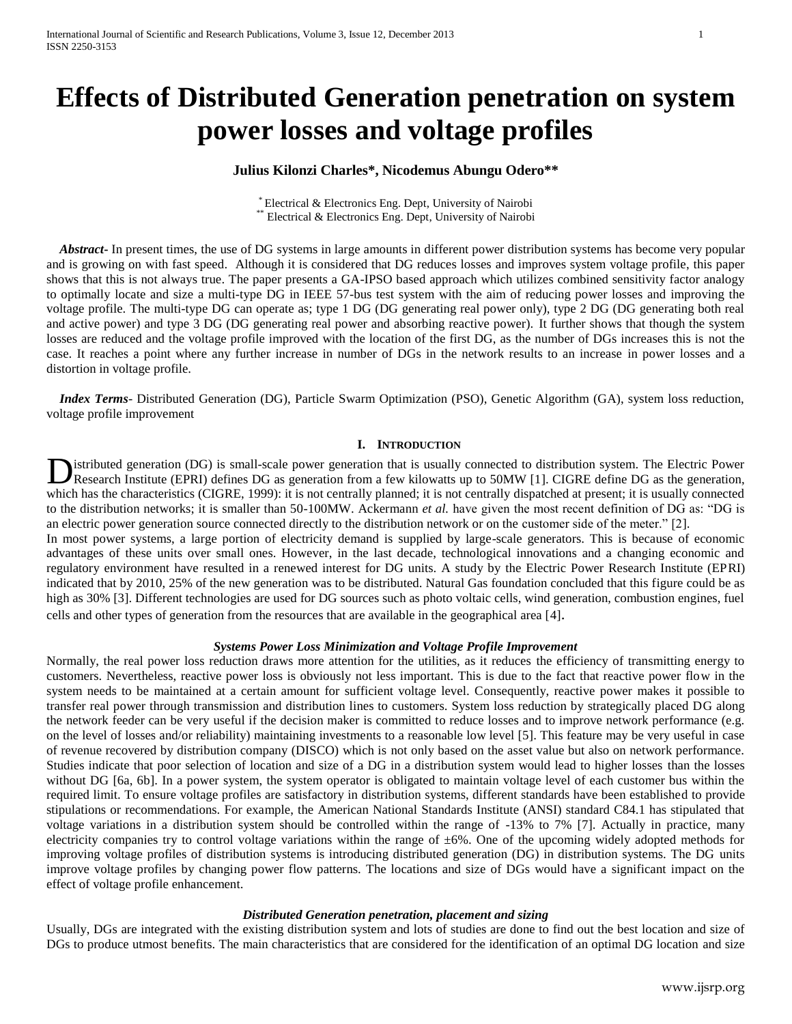# **Effects of Distributed Generation penetration on system power losses and voltage profiles**

# **Julius Kilonzi Charles\*, Nicodemus Abungu Odero\*\***

\* Electrical & Electronics Eng. Dept, University of Nairobi \*\* Electrical & Electronics Eng. Dept, University of Nairobi

 *Abstract***-** In present times, the use of DG systems in large amounts in different power distribution systems has become very popular and is growing on with fast speed. Although it is considered that DG reduces losses and improves system voltage profile, this paper shows that this is not always true. The paper presents a GA-IPSO based approach which utilizes combined sensitivity factor analogy to optimally locate and size a multi-type DG in IEEE 57-bus test system with the aim of reducing power losses and improving the voltage profile. The multi-type DG can operate as; type 1 DG (DG generating real power only), type 2 DG (DG generating both real and active power) and type 3 DG (DG generating real power and absorbing reactive power). It further shows that though the system losses are reduced and the voltage profile improved with the location of the first DG, as the number of DGs increases this is not the case. It reaches a point where any further increase in number of DGs in the network results to an increase in power losses and a distortion in voltage profile.

 *Index Terms*- Distributed Generation (DG), Particle Swarm Optimization (PSO), Genetic Algorithm (GA), system loss reduction, voltage profile improvement

## **I. INTRODUCTION**

istributed generation (DG) is small-scale power generation that is usually connected to distribution system. The Electric Power Research Institute (EPRI) defines DG as generation from a few kilowatts up to 50MW [1]. CIGRE define DG as the generation, **D**istributed generation (DG) is small-scale power generation that is usually connected to distribution system. The Electric Power<br>Research Institute (EPRI) defines DG as generation from a few kilowatts up to 50MW [1]. CIG to the distribution networks; it is smaller than 50-100MW. Ackermann *et al.* have given the most recent definition of DG as: "DG is an electric power generation source connected directly to the distribution network or on the customer side of the meter." [2].

In most power systems, a large portion of electricity demand is supplied by large-scale generators. This is because of economic advantages of these units over small ones. However, in the last decade, technological innovations and a changing economic and regulatory environment have resulted in a renewed interest for DG units. A study by the Electric Power Research Institute (EPRI) indicated that by 2010, 25% of the new generation was to be distributed. Natural Gas foundation concluded that this figure could be as high as 30% [3]. Different technologies are used for DG sources such as photo voltaic cells, wind generation, combustion engines, fuel cells and other types of generation from the resources that are available in the geographical area [4].

## *Systems Power Loss Minimization and Voltage Profile Improvement*

Normally, the real power loss reduction draws more attention for the utilities, as it reduces the efficiency of transmitting energy to customers. Nevertheless, reactive power loss is obviously not less important. This is due to the fact that reactive power flow in the system needs to be maintained at a certain amount for sufficient voltage level. Consequently, reactive power makes it possible to transfer real power through transmission and distribution lines to customers. System loss reduction by strategically placed DG along the network feeder can be very useful if the decision maker is committed to reduce losses and to improve network performance (e.g. on the level of losses and/or reliability) maintaining investments to a reasonable low level [5]. This feature may be very useful in case of revenue recovered by distribution company (DISCO) which is not only based on the asset value but also on network performance. Studies indicate that poor selection of location and size of a DG in a distribution system would lead to higher losses than the losses without DG [6a, 6b]. In a power system, the system operator is obligated to maintain voltage level of each customer bus within the required limit. To ensure voltage profiles are satisfactory in distribution systems, different standards have been established to provide stipulations or recommendations. For example, the American National Standards Institute (ANSI) standard C84.1 has stipulated that voltage variations in a distribution system should be controlled within the range of -13% to 7% [7]. Actually in practice, many electricity companies try to control voltage variations within the range of ±6%. One of the upcoming widely adopted methods for improving voltage profiles of distribution systems is introducing distributed generation (DG) in distribution systems. The DG units improve voltage profiles by changing power flow patterns. The locations and size of DGs would have a significant impact on the effect of voltage profile enhancement.

## *Distributed Generation penetration, placement and sizing*

Usually, DGs are integrated with the existing distribution system and lots of studies are done to find out the best location and size of DGs to produce utmost benefits. The main characteristics that are considered for the identification of an optimal DG location and size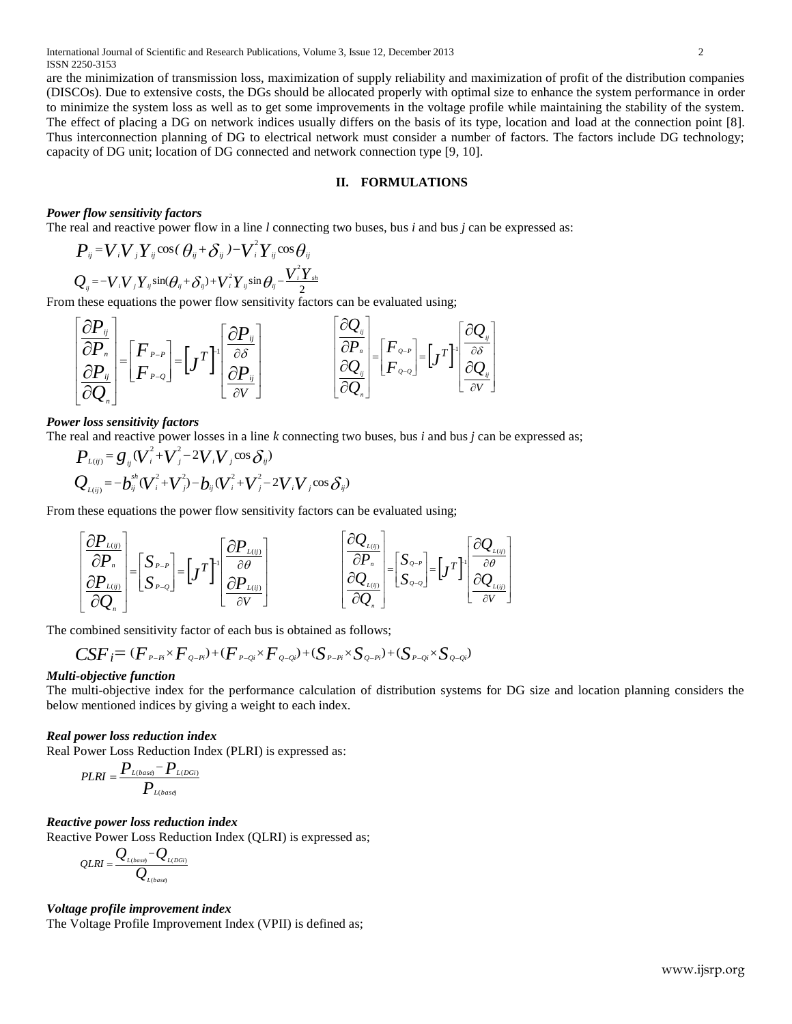are the minimization of transmission loss, maximization of supply reliability and maximization of profit of the distribution companies (DISCOs). Due to extensive costs, the DGs should be allocated properly with optimal size to enhance the system performance in order to minimize the system loss as well as to get some improvements in the voltage profile while maintaining the stability of the system. The effect of placing a DG on network indices usually differs on the basis of its type, location and load at the connection point [8]. Thus interconnection planning of DG to electrical network must consider a number of factors. The factors include DG technology; capacity of DG unit; location of DG connected and network connection type [9, 10].

## **II. FORMULATIONS**

## *Power flow sensitivity factors*

The real and reactive power flow in a line *l* connecting two buses, bus *i* and bus *j* can be expressed as:

$$
P_{ij} = V_i V_j Y_{ij} \cos(\theta_{ij} + \delta_{ij}) - V_i^2 Y_{ij} \cos \theta_{ij}
$$
  

$$
Q_{ij} = -V_i V_j Y_{ij} \sin(\theta_{ij} + \delta_{ij}) + V_i^2 Y_{ij} \sin \theta_{ij} - \frac{V_i^2 Y_{sh}}{2}
$$

From these equations the power flow sensitivity factors can be evaluated using;

$$
\begin{bmatrix}\n\frac{\partial P_{ij}}{\partial P_n} \\
\frac{\partial P_{ij}}{\partial Q_n}\n\end{bmatrix} =\n\begin{bmatrix}\nF_{P-P} \\
F_{P-Q}\n\end{bmatrix} =\n\begin{bmatrix}\nJ^T\n\end{bmatrix}\n\begin{bmatrix}\n\frac{\partial P_{ij}}{\partial S} \\
\frac{\partial P_{ij}}{\partial V}\n\end{bmatrix}\n\qquad\n\begin{bmatrix}\n\frac{\partial Q_{ij}}{\partial P_n} \\
\frac{\partial Q_{ij}}{\partial Q_n}\n\end{bmatrix} =\n\begin{bmatrix}\nF_{Q-P} \\
F_{Q-Q}\n\end{bmatrix} =\n\begin{bmatrix}\nJ^T\n\end{bmatrix}\n\begin{bmatrix}\n\frac{\partial Q_{ij}}{\partial S} \\
\frac{\partial Q_{ij}}{\partial V}\n\end{bmatrix}
$$

#### *Power loss sensitivity factors*

The real and reactive power losses in a line *k* connecting two buses, bus *i* and bus *j* can be expressed as;

$$
P_{L(ij)} = g_{ij} (V_i^2 + V_j^2 - 2V_i V_j \cos \delta_{ij})
$$
  
\n
$$
Q_{L(ij)} = -b_{ij}^{sh} (V_i^2 + V_j^2) - b_{ij} (V_i^2 + V_j^2 - 2V_i V_j \cos \delta_{ij})
$$

From these equations the power flow sensitivity factors can be evaluated using;

$$
\begin{bmatrix}\n\frac{\partial P_{L(ij)}}{\partial P_n} \\
\frac{\partial P_{L(ij)}}{\partial Q_n}\n\end{bmatrix} =\n\begin{bmatrix}\nS_{P-P} \\
S_{P-Q}\n\end{bmatrix} =\n\begin{bmatrix}\nJ^T\n\end{bmatrix}\n\begin{bmatrix}\n\frac{\partial P_{L(ij)}}{\partial \theta} \\
\frac{\partial P_{L(ij)}}{\partial V}\n\end{bmatrix}\n\qquad\n\begin{bmatrix}\n\frac{\partial Q_{L(ij)}}{\partial P_n} \\
\frac{\partial Q_{L(ij)}}{\partial Q_n}\n\end{bmatrix} =\n\begin{bmatrix}\nS_{Q-P} \\
S_{Q-Q}\n\end{bmatrix} =\n\begin{bmatrix}\nJ^T\n\end{bmatrix}\n\begin{bmatrix}\n\frac{\partial Q_{L(ij)}}{\partial \theta} \\
\frac{\partial Q_{L(ij)}}{\partial V}\n\end{bmatrix}
$$

The combined sensitivity factor of each bus is obtained as follows;

$$
CSF_{i}=(F_{P-Pi} \times F_{Q-Pi})+(F_{P-Qi} \times F_{Q-Qi})+(S_{P-Pi} \times S_{Q-Pi})+(S_{P-Qi} \times S_{Q-Qi})
$$

## *Multi-objective function*

The multi-objective index for the performance calculation of distribution systems for DG size and location planning considers the below mentioned indices by giving a weight to each index.

#### *Real power loss reduction index*

Real Power Loss Reduction Index (PLRI) is expressed as:

$$
PLRI = \frac{P_{L(base)} - P_{L(DGi)}}{P_{L(base)}}
$$

#### *Reactive power loss reduction index*

Reactive Power Loss Reduction Index (QLRI) is expressed as;

$$
QLRI = \frac{Q_{L(base)} - Q_{L(DGi)}}{Q_{L(base)}}
$$

## *Voltage profile improvement index*

The Voltage Profile Improvement Index (VPII) is defined as;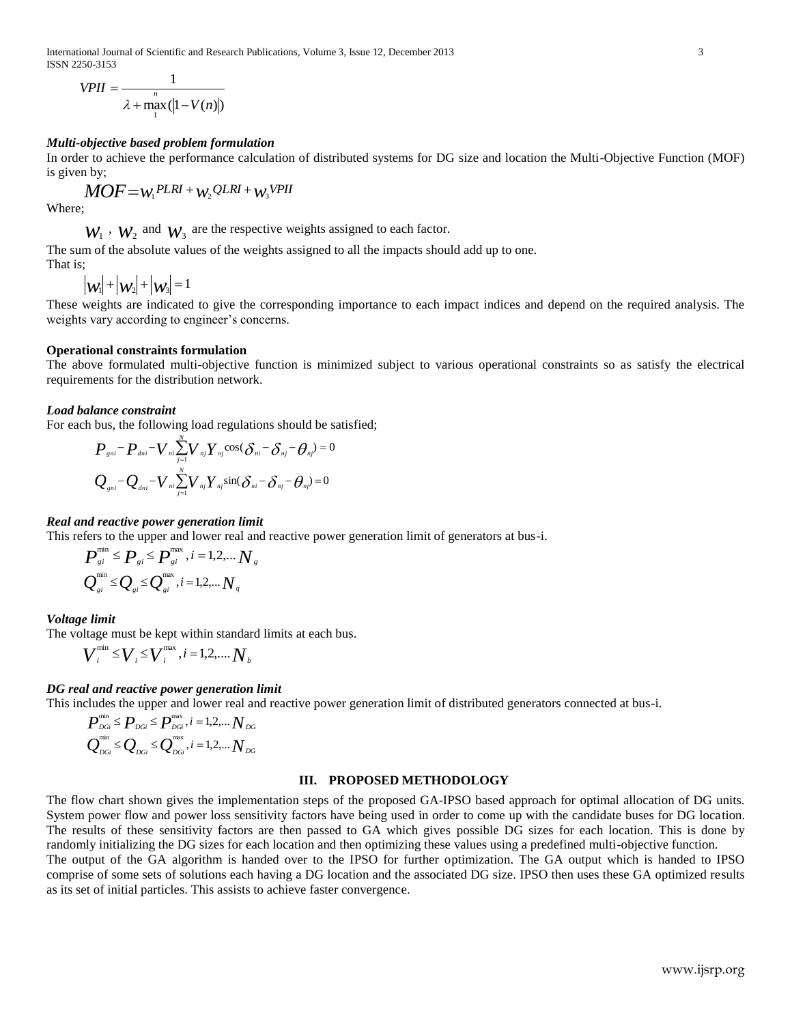International Journal of Scientific and Research Publications, Volume 3, Issue 12, December 2013 3 ISSN 2250-3153

$$
VPII = \frac{1}{\lambda + \max_{1}(|1 - V(n)|)}
$$

### *Multi-objective based problem formulation*

In order to achieve the performance calculation of distributed systems for DG size and location the Multi-Objective Function (MOF) is given by;

 $MOF = w_1PLRI + w_2QLRI + w_3VPII$ 

Where;

 $W_1$ ,  $W_2$  and  $W_3$  are the respective weights assigned to each factor.

The sum of the absolute values of the weights assigned to all the impacts should add up to one. That is;

 $|w_1| + |w_2| + |w_3| = 1$ 

These weights are indicated to give the corresponding importance to each impact indices and depend on the required analysis. The weights vary according to engineer's concerns.

#### **Operational constraints formulation**

The above formulated multi-objective function is minimized subject to various operational constraints so as satisfy the electrical requirements for the distribution network.

## *Load balance constraint*

For each bus, the following load regulations should be satisfied;

$$
P_{\text{gni}} - P_{\text{dni}} - V_{\text{ni}} \sum_{j=1}^{N} V_{\text{nj}} Y_{\text{nj}} \cos(\delta_{\text{ni}} - \delta_{\text{nj}} - \theta_{\text{nj}}) = 0
$$
  

$$
Q_{\text{gni}} - Q_{\text{dni}} - V_{\text{ni}} \sum_{j=1}^{N} V_{\text{nj}} Y_{\text{nj}} \sin(\delta_{\text{ni}} - \delta_{\text{nj}} - \theta_{\text{nj}}) = 0
$$

#### *Real and reactive power generation limit*

This refers to the upper and lower real and reactive power generation limit of generators at bus-i.

$$
P_{si}^{\min} \leq P_{si} \leq P_{si}^{\max}, i = 1, 2, \dots N_s
$$
  

$$
Q_{si}^{\min} \leq Q_{si} \leq Q_{si}^{\max}, i = 1, 2, \dots N_s
$$

#### *Voltage limit*

The voltage must be kept within standard limits at each bus.

$$
\boldsymbol{V}_{i}^{\text{min}} \leq \boldsymbol{V}_{i} \leq \boldsymbol{V}_{i}^{\text{max}}, i = 1, 2, \dots, \boldsymbol{N}_{b}
$$

## *DG real and reactive power generation limit*

This includes the upper and lower real and reactive power generation limit of distributed generators connected at bus-i.

$$
\bm{P}^{\text{min}}_{\text{DGi}} \leq \bm{P}_{\text{DGi}} \leq \bm{P}^{\text{max}}_{\text{DGi}}, i = 1, 2, \dots N_{\text{DG}}
$$
\n
$$
\bm{Q}^{\text{min}}_{\text{DGi}} \leq \bm{Q}_{\text{DGi}} \leq \bm{Q}^{\text{max}}_{\text{DGi}}, i = 1, 2, \dots N_{\text{DG}}
$$

### **III. PROPOSED METHODOLOGY**

The flow chart shown gives the implementation steps of the proposed GA-IPSO based approach for optimal allocation of DG units. System power flow and power loss sensitivity factors have being used in order to come up with the candidate buses for DG location. The results of these sensitivity factors are then passed to GA which gives possible DG sizes for each location. This is done by randomly initializing the DG sizes for each location and then optimizing these values using a predefined multi-objective function. The output of the GA algorithm is handed over to the IPSO for further optimization. The GA output which is handed to IPSO comprise of some sets of solutions each having a DG location and the associated DG size. IPSO then uses these GA optimized results as its set of initial particles. This assists to achieve faster convergence.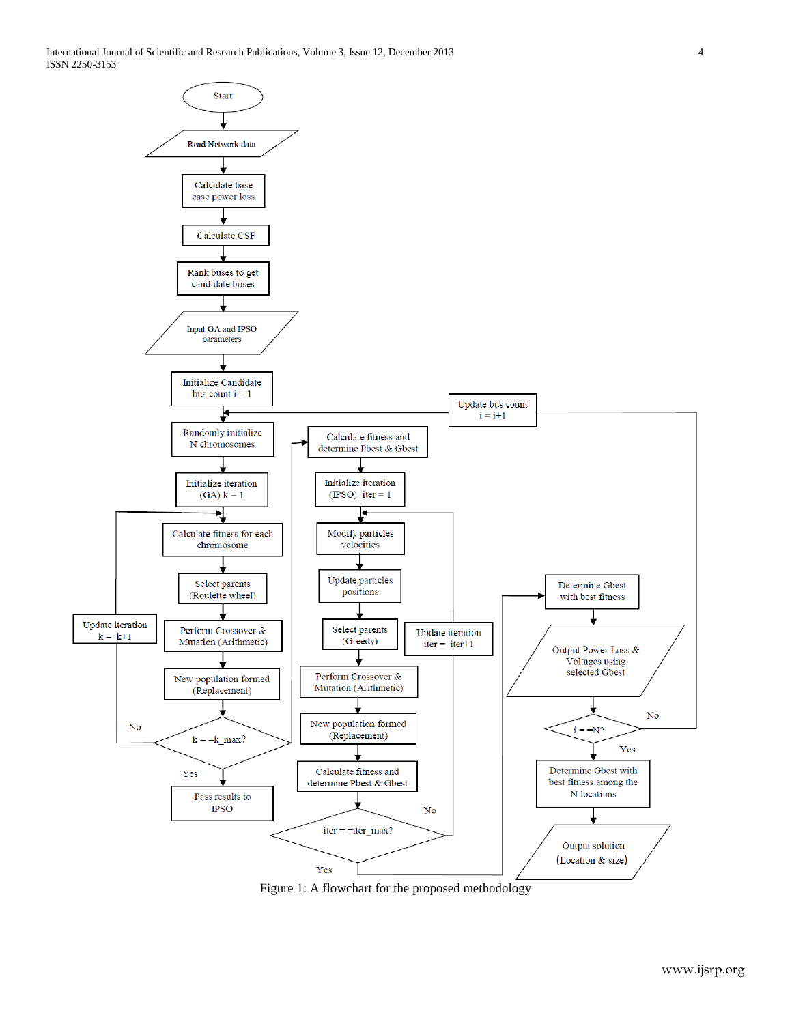

Figure 1: A flowchart for the proposed methodology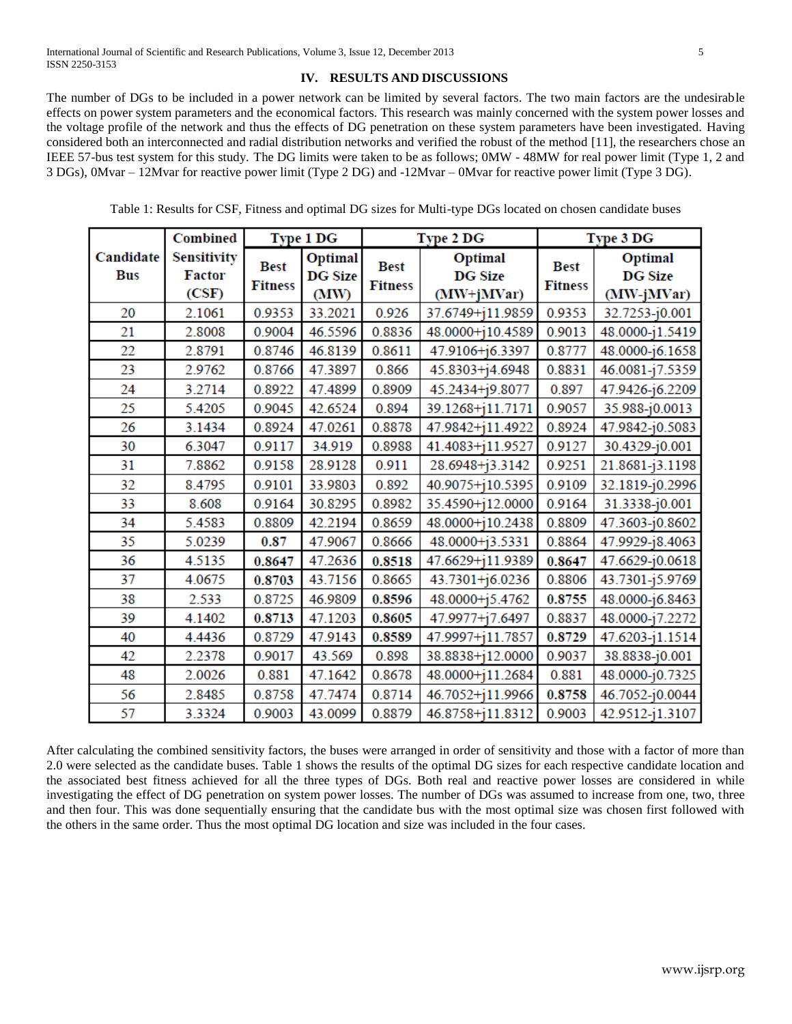# **IV. RESULTS AND DISCUSSIONS**

The number of DGs to be included in a power network can be limited by several factors. The two main factors are the undesirable effects on power system parameters and the economical factors. This research was mainly concerned with the system power losses and the voltage profile of the network and thus the effects of DG penetration on these system parameters have been investigated. Having considered both an interconnected and radial distribution networks and verified the robust of the method [11], the researchers chose an IEEE 57-bus test system for this study. The DG limits were taken to be as follows; 0MW - 48MW for real power limit (Type 1, 2 and 3 DGs), 0Mvar – 12Mvar for reactive power limit (Type 2 DG) and -12Mvar – 0Mvar for reactive power limit (Type 3 DG).

|                         | Combined                                     | Type 1 DG                     |                                   |                               | Type 2 DG                               | Type 3 DG                     |                                         |
|-------------------------|----------------------------------------------|-------------------------------|-----------------------------------|-------------------------------|-----------------------------------------|-------------------------------|-----------------------------------------|
| Candidate<br><b>Bus</b> | <b>Sensitivity</b><br><b>Factor</b><br>(CSF) | <b>Best</b><br><b>Fitness</b> | Optimal<br><b>DG Size</b><br>(MW) | <b>Best</b><br><b>Fitness</b> | Optimal<br><b>DG Size</b><br>(MW+jMVar) | <b>Best</b><br><b>Fitness</b> | Optimal<br><b>DG Size</b><br>(MW-jMVar) |
| 20                      | 2.1061                                       | 0.9353                        | 33.2021                           | 0.926                         | 37.6749+j11.9859                        | 0.9353                        | 32.7253-j0.001                          |
| 21                      | 2.8008                                       | 0.9004                        | 46.5596                           | 0.8836                        | 48.0000+j10.4589                        | 0.9013                        | 48.0000-j1.5419                         |
| 22                      | 2.8791                                       | 0.8746                        | 46.8139                           | 0.8611                        | 47.9106+j6.3397                         | 0.8777                        | 48.0000-j6.1658                         |
| 23                      | 2.9762                                       | 0.8766                        | 47.3897                           | 0.866                         | 45.8303+j4.6948                         | 0.8831                        | 46.0081-j7.5359                         |
| 24                      | 3.2714                                       | 0.8922                        | 47.4899                           | 0.8909                        | 45.2434+j9.8077                         | 0.897                         | 47.9426-j6.2209                         |
| 25                      | 5.4205                                       | 0.9045                        | 42.6524                           | 0.894                         | 39.1268+111.7171                        | 0.9057                        | 35.988-j0.0013                          |
| 26                      | 3.1434                                       | 0.8924                        | 47.0261                           | 0.8878                        | 47.9842+111.4922                        | 0.8924                        | 47.9842-j0.5083                         |
| 30                      | 6.3047                                       | 0.9117                        | 34.919                            | 0.8988                        | 41.4083+j11.9527                        | 0.9127                        | 30.4329-j0.001                          |
| 31                      | 7.8862                                       | 0.9158                        | 28.9128                           | 0.911                         | 28.6948+j3.3142                         | 0.9251                        | 21.8681-j3.1198                         |
| 32                      | 8.4795                                       | 0.9101                        | 33.9803                           | 0.892                         | 40.9075+j10.5395                        | 0.9109                        | 32.1819-j0.2996                         |
| 33                      | 8.608                                        | 0.9164                        | 30.8295                           | 0.8982                        | 35.4590+i12.0000                        | 0.9164                        | 31.3338-j0.001                          |
| 34                      | 5.4583                                       | 0.8809                        | 42.2194                           | 0.8659                        | 48.0000+j10.2438                        | 0.8809                        | 47.3603-j0.8602                         |
| 35                      | 5.0239                                       | 0.87                          | 47.9067                           | 0.8666                        | 48.0000+j3.5331                         | 0.8864                        | 47.9929-j8.4063                         |
| 36                      | 4.5135                                       | 0.8647                        | 47.2636                           | 0.8518                        | 47.6629+111.9389                        | 0.8647                        | 47.6629-j0.0618                         |
| 37                      | 4.0675                                       | 0.8703                        | 43.7156                           | 0.8665                        | 43.7301+16.0236                         | 0.8806                        | 43.7301-j5.9769                         |
| 38                      | 2.533                                        | 0.8725                        | 46.9809                           | 0.8596                        | 48.0000+j5.4762                         | 0.8755                        | 48.0000-j6.8463                         |
| 39                      | 4.1402                                       | 0.8713                        | 47.1203                           | 0.8605                        | 47.9977+j7.6497                         | 0.8837                        | 48.0000-j7.2272                         |
| 40                      | 4.4436                                       | 0.8729                        | 47.9143                           | 0.8589                        | 47.9997+111.7857                        | 0.8729                        | 47.6203-j1.1514                         |
| 42                      | 2.2378                                       | 0.9017                        | 43.569                            | 0.898                         | 38.8838+112.0000                        | 0.9037                        | 38.8838-j0.001                          |
| 48                      | 2.0026                                       | 0.881                         | 47.1642                           | 0.8678                        | 48.0000+j11.2684                        | 0.881                         | 48.0000-j0.7325                         |
| 56                      | 2.8485                                       | 0.8758                        | 47.7474                           | 0.8714                        | 46.7052+j11.9966                        | 0.8758                        | 46.7052-j0.0044                         |
| 57                      | 3.3324                                       | 0.9003                        | 43.0099                           | 0.8879                        | 46.8758+j11.8312                        | 0.9003                        | 42.9512-j1.3107                         |

Table 1: Results for CSF, Fitness and optimal DG sizes for Multi-type DGs located on chosen candidate buses

After calculating the combined sensitivity factors, the buses were arranged in order of sensitivity and those with a factor of more than 2.0 were selected as the candidate buses. Table 1 shows the results of the optimal DG sizes for each respective candidate location and the associated best fitness achieved for all the three types of DGs. Both real and reactive power losses are considered in while investigating the effect of DG penetration on system power losses. The number of DGs was assumed to increase from one, two, three and then four. This was done sequentially ensuring that the candidate bus with the most optimal size was chosen first followed with the others in the same order. Thus the most optimal DG location and size was included in the four cases.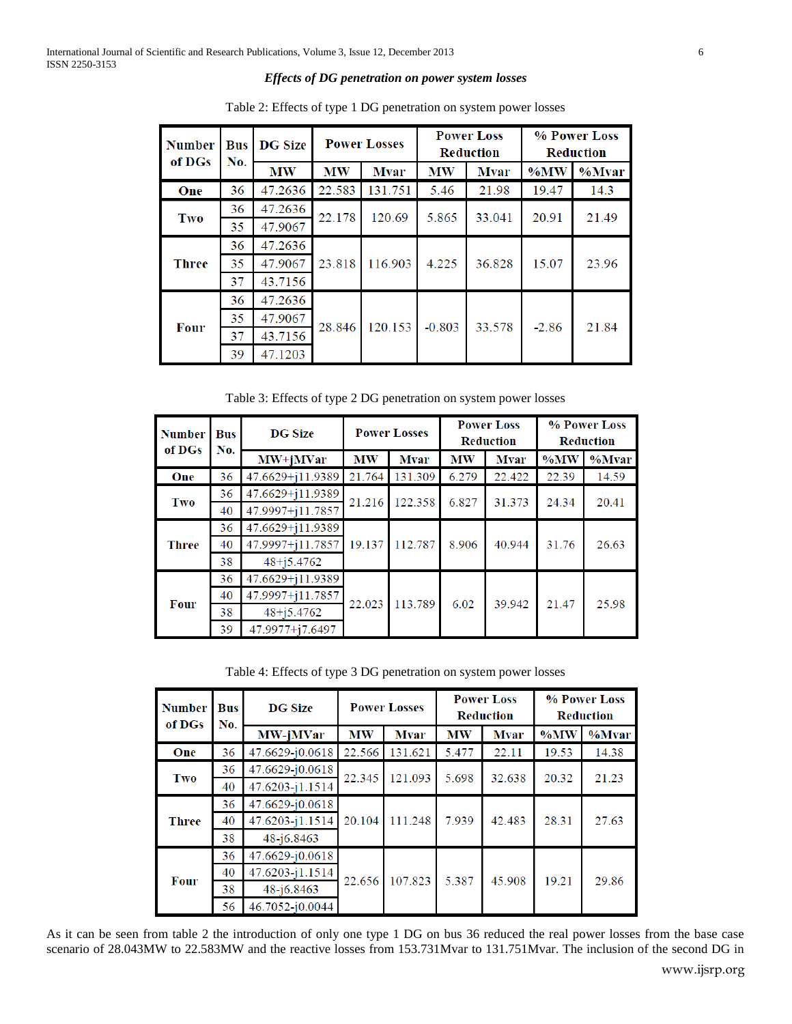## *Effects of DG penetration on power system losses*

| <b>Number</b><br>of DGs | Bus<br>No. | <b>DG Size</b> | <b>Power Losses</b> |             | <b>Power Loss</b><br><b>Reduction</b> |             | % Power Loss<br><b>Reduction</b> |       |
|-------------------------|------------|----------------|---------------------|-------------|---------------------------------------|-------------|----------------------------------|-------|
|                         |            | <b>MW</b>      | <b>MW</b>           | <b>Mvar</b> | <b>MW</b>                             | <b>Mvar</b> | %MW                              | %Mvar |
| One                     | 36         | 47.2636        | 22.583              | 131.751     | 5.46                                  | 21.98       | 19.47                            | 14.3  |
| Two                     | 36         | 47.2636        | 22.178              | 120.69      | 5.865                                 | 33.041      | 20.91                            | 21.49 |
|                         | 35         | 47.9067        |                     |             |                                       |             |                                  |       |
| <b>Three</b>            | 36         | 47.2636        | 23.818              | 116.903     | 4.225                                 | 36.828      | 15.07                            | 23.96 |
|                         | 35         | 47.9067        |                     |             |                                       |             |                                  |       |
|                         | 37         | 43.7156        |                     |             |                                       |             |                                  |       |
| Four                    | 36         | 47.2636        | 28.846              | 120.153     | $-0.803$                              | 33.578      | $-2.86$                          | 21.84 |
|                         | 35         | 47.9067        |                     |             |                                       |             |                                  |       |
|                         | 37         | 43.7156        |                     |             |                                       |             |                                  |       |
|                         | 39         | 47.1203        |                     |             |                                       |             |                                  |       |

Table 2: Effects of type 1 DG penetration on system power losses

Table 3: Effects of type 2 DG penetration on system power losses

| <b>Number</b><br>of DGs | <b>Bus</b><br>No. | <b>DG Size</b>   | <b>Power Losses</b> |             | <b>Power Loss</b><br><b>Reduction</b> |             | % Power Loss<br><b>Reduction</b> |           |
|-------------------------|-------------------|------------------|---------------------|-------------|---------------------------------------|-------------|----------------------------------|-----------|
|                         |                   | $MW+iMVar$       | <b>MW</b>           | <b>Mvar</b> | <b>MW</b>                             | <b>Mvar</b> | $\%$ MW                          | $\%$ Mvar |
| One                     | 36                | 47.6629+j11.9389 | 21.764              | 131.309     | 6.279                                 | 22.422      | 22.39                            | 14.59     |
| Two                     | 36                | 47.6629+j11.9389 | 21.216              | 122.358     | 6.827                                 | 31.373      | 24.34                            | 20.41     |
|                         | 40                | 47.9997+j11.7857 |                     |             |                                       |             |                                  |           |
| <b>Three</b>            | 36                | 47.6629+j11.9389 | 19.137              | 112.787     | 8.906                                 | 40.944      | 31.76                            | 26.63     |
|                         | 40                | 47.9997+j11.7857 |                     |             |                                       |             |                                  |           |
|                         | 38                | $48 + j5.4762$   |                     |             |                                       |             |                                  |           |
| <b>Four</b>             | 36                | 47.6629+j11.9389 | 22.023              | 113.789     | 6.02                                  | 39.942      | 21.47                            | 25.98     |
|                         | 40                | 47.9997+j11.7857 |                     |             |                                       |             |                                  |           |
|                         | 38                | $48 + j5.4762$   |                     |             |                                       |             |                                  |           |
|                         | 39                | 47.9977+j7.6497  |                     |             |                                       |             |                                  |           |

Table 4: Effects of type 3 DG penetration on system power losses

| <b>Number</b><br>of DGs | Bus<br>No. | <b>DG Size</b>      | <b>Power Losses</b> |             | <b>Power Loss</b><br><b>Reduction</b> |             | % Power Loss<br><b>Reduction</b> |          |
|-------------------------|------------|---------------------|---------------------|-------------|---------------------------------------|-------------|----------------------------------|----------|
|                         |            | MW-jMVar            | <b>MW</b>           | <b>Mvar</b> | <b>MW</b>                             | <b>Mvar</b> | $\%$ MW                          | $%$ Mvar |
| One                     | 36         | 47.6629-j0.0618     | 22.566              | 131.621     | 5.477                                 | 22.11       | 19.53                            | 14.38    |
| Two                     | 36         | 47.6629-j0.0618     | 22.345              | 121.093     | 5.698                                 | 32.638      | 20.32                            | 21.23    |
|                         | 40         | 47.6203-j1.1514     |                     |             |                                       |             |                                  |          |
| <b>Three</b>            | 36         | 47.6629-j0.0618     | 20.104              | 111.248     | 7.939                                 | 42.483      | 28.31                            | 27.63    |
|                         | 40         | $47.6203 - 11.1514$ |                     |             |                                       |             |                                  |          |
|                         | 38         | $48 - 16.8463$      |                     |             |                                       |             |                                  |          |
| <b>Four</b>             | 36         | 47.6629-j0.0618     | 22.656              | 107.823     | 5.387                                 | 45.908      | 19.21                            | 29.86    |
|                         | 40         | 47.6203-j1.1514     |                     |             |                                       |             |                                  |          |
|                         | 38         | $48 - j6.8463$      |                     |             |                                       |             |                                  |          |
|                         | 56         | 46.7052-j0.0044     |                     |             |                                       |             |                                  |          |

As it can be seen from table 2 the introduction of only one type 1 DG on bus 36 reduced the real power losses from the base case scenario of 28.043MW to 22.583MW and the reactive losses from 153.731Mvar to 131.751Mvar. The inclusion of the second DG in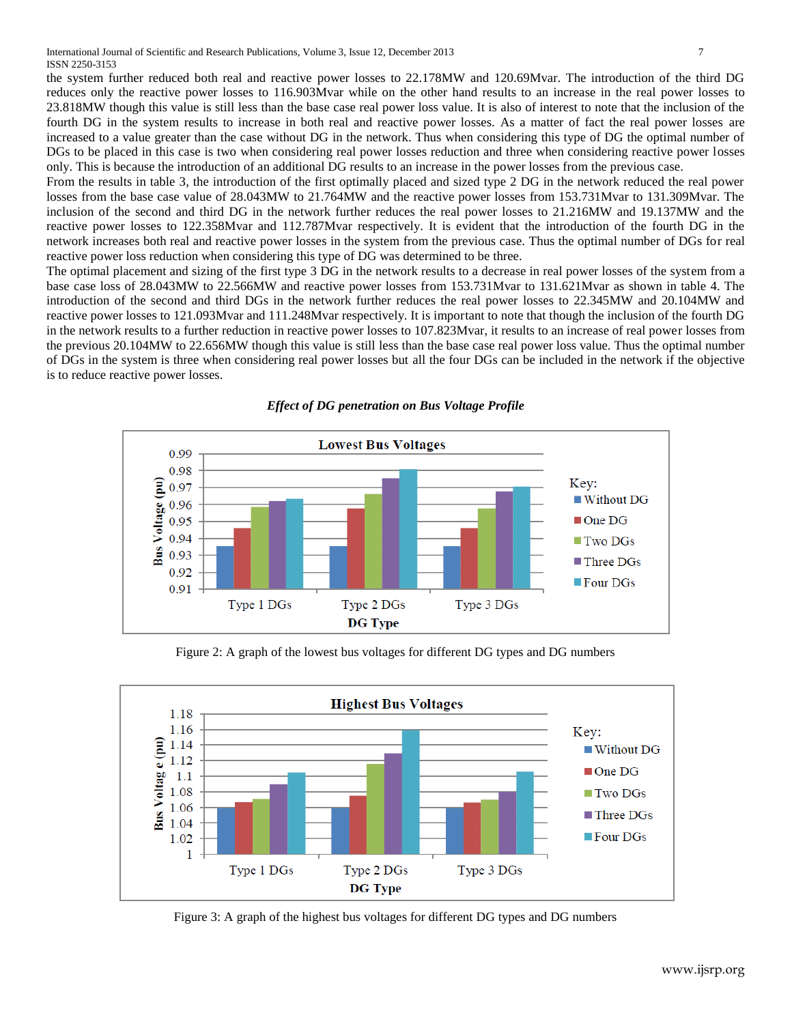the system further reduced both real and reactive power losses to 22.178MW and 120.69Mvar. The introduction of the third DG reduces only the reactive power losses to 116.903Mvar while on the other hand results to an increase in the real power losses to 23.818MW though this value is still less than the base case real power loss value. It is also of interest to note that the inclusion of the fourth DG in the system results to increase in both real and reactive power losses. As a matter of fact the real power losses are increased to a value greater than the case without DG in the network. Thus when considering this type of DG the optimal number of DGs to be placed in this case is two when considering real power losses reduction and three when considering reactive power losses only. This is because the introduction of an additional DG results to an increase in the power losses from the previous case.

From the results in table 3, the introduction of the first optimally placed and sized type 2 DG in the network reduced the real power losses from the base case value of 28.043MW to 21.764MW and the reactive power losses from 153.731Mvar to 131.309Mvar. The inclusion of the second and third DG in the network further reduces the real power losses to 21.216MW and 19.137MW and the reactive power losses to 122.358Mvar and 112.787Mvar respectively. It is evident that the introduction of the fourth DG in the network increases both real and reactive power losses in the system from the previous case. Thus the optimal number of DGs for real reactive power loss reduction when considering this type of DG was determined to be three.

The optimal placement and sizing of the first type 3 DG in the network results to a decrease in real power losses of the system from a base case loss of 28.043MW to 22.566MW and reactive power losses from 153.731Mvar to 131.621Mvar as shown in table 4. The introduction of the second and third DGs in the network further reduces the real power losses to 22.345MW and 20.104MW and reactive power losses to 121.093Mvar and 111.248Mvar respectively. It is important to note that though the inclusion of the fourth DG in the network results to a further reduction in reactive power losses to 107.823Mvar, it results to an increase of real power losses from the previous 20.104MW to 22.656MW though this value is still less than the base case real power loss value. Thus the optimal number of DGs in the system is three when considering real power losses but all the four DGs can be included in the network if the objective is to reduce reactive power losses.



Figure 2: A graph of the lowest bus voltages for different DG types and DG numbers



Figure 3: A graph of the highest bus voltages for different DG types and DG numbers